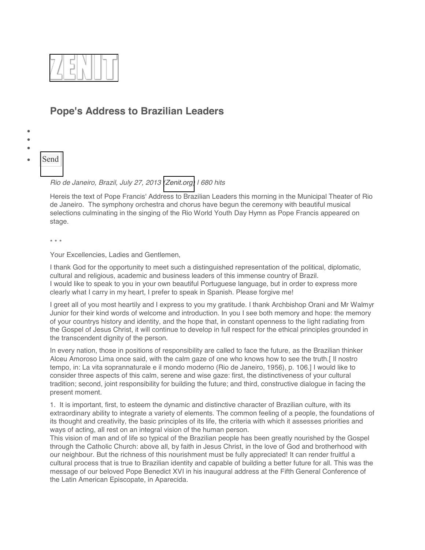

## **Pope's Address to Brazilian Leaders**

- $\bullet$
- $\bullet$
- $\bullet$
- **[Send](http://www.zenit.org/en/articles/pope-s-address-to-brazilian-leaders/shares/new)**

*Rio de Janeiro, Brazil, July 27, 2013 [\(Zenit.org\)](http://www.zenit.org/) | 680 hits*

Hereis the text of Pope Francis' Address to Brazilian Leaders this morning in the Municipal Theater of Rio de Janeiro. The symphony orchestra and chorus have begun the ceremony with beautiful musical selections culminating in the singing of the Rio World Youth Day Hymn as Pope Francis appeared on stage.

\* \* \*

Your Excellencies, Ladies and Gentlemen,

I thank God for the opportunity to meet such a distinguished representation of the political, diplomatic, cultural and religious, academic and business leaders of this immense country of Brazil. I would like to speak to you in your own beautiful Portuguese language, but in order to express more clearly what I carry in my heart, I prefer to speak in Spanish. Please forgive me!

I greet all of you most heartily and I express to you my gratitude. I thank Archbishop Orani and Mr Walmyr Junior for their kind words of welcome and introduction. In you I see both memory and hope: the memory of your countrys history and identity, and the hope that, in constant openness to the light radiating from the Gospel of Jesus Christ, it will continue to develop in full respect for the ethical principles grounded in the transcendent dignity of the person.

In every nation, those in positions of responsibility are called to face the future, as the Brazilian thinker Alceu Amoroso Lima once said, with the calm gaze of one who knows how to see the truth.[ Il nostro tempo, in: La vita soprannaturale e il mondo moderno (Rio de Janeiro, 1956), p. 106.] I would like to consider three aspects of this calm, serene and wise gaze: first, the distinctiveness of your cultural tradition; second, joint responsibility for building the future; and third, constructive dialogue in facing the present moment.

1. It is important, first, to esteem the dynamic and distinctive character of Brazilian culture, with its extraordinary ability to integrate a variety of elements. The common feeling of a people, the foundations of its thought and creativity, the basic principles of its life, the criteria with which it assesses priorities and ways of acting, all rest on an integral vision of the human person.

This vision of man and of life so typical of the Brazilian people has been greatly nourished by the Gospel through the Catholic Church: above all, by faith in Jesus Christ, in the love of God and brotherhood with our neighbour. But the richness of this nourishment must be fully appreciated! It can render fruitful a cultural process that is true to Brazilian identity and capable of building a better future for all. This was the message of our beloved Pope Benedict XVI in his inaugural address at the Fifth General Conference of the Latin American Episcopate, in Aparecida.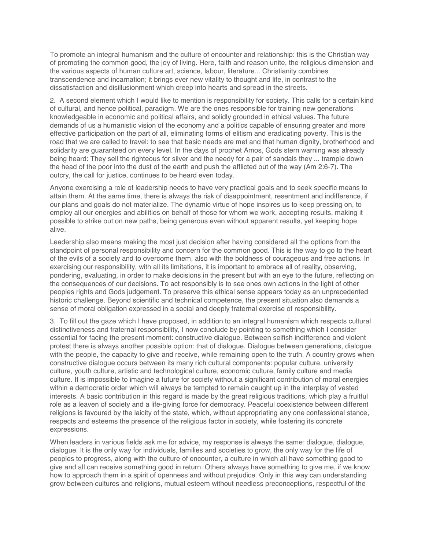To promote an integral humanism and the culture of encounter and relationship: this is the Christian way of promoting the common good, the joy of living. Here, faith and reason unite, the religious dimension and the various aspects of human culture art, science, labour, literature... Christianity combines transcendence and incarnation; it brings ever new vitality to thought and life, in contrast to the dissatisfaction and disillusionment which creep into hearts and spread in the streets.

2. A second element which I would like to mention is responsibility for society. This calls for a certain kind of cultural, and hence political, paradigm. We are the ones responsible for training new generations knowledgeable in economic and political affairs, and solidly grounded in ethical values. The future demands of us a humanistic vision of the economy and a politics capable of ensuring greater and more effective participation on the part of all, eliminating forms of elitism and eradicating poverty. This is the road that we are called to travel: to see that basic needs are met and that human dignity, brotherhood and solidarity are guaranteed on every level. In the days of prophet Amos, Gods stern warning was already being heard: They sell the righteous for silver and the needy for a pair of sandals they ... trample down the head of the poor into the dust of the earth and push the afflicted out of the way (Am 2:6-7). The outcry, the call for justice, continues to be heard even today.

Anyone exercising a role of leadership needs to have very practical goals and to seek specific means to attain them. At the same time, there is always the risk of disappointment, resentment and indifference, if our plans and goals do not materialize. The dynamic virtue of hope inspires us to keep pressing on, to employ all our energies and abilities on behalf of those for whom we work, accepting results, making it possible to strike out on new paths, being generous even without apparent results, yet keeping hope alive.

Leadership also means making the most just decision after having considered all the options from the standpoint of personal responsibility and concern for the common good. This is the way to go to the heart of the evils of a society and to overcome them, also with the boldness of courageous and free actions. In exercising our responsibility, with all its limitations, it is important to embrace all of reality, observing, pondering, evaluating, in order to make decisions in the present but with an eye to the future, reflecting on the consequences of our decisions. To act responsibly is to see ones own actions in the light of other peoples rights and Gods judgement. To preserve this ethical sense appears today as an unprecedented historic challenge. Beyond scientific and technical competence, the present situation also demands a sense of moral obligation expressed in a social and deeply fraternal exercise of responsibility.

3. To fill out the gaze which I have proposed, in addition to an integral humanism which respects cultural distinctiveness and fraternal responsibility, I now conclude by pointing to something which I consider essential for facing the present moment: constructive dialogue. Between selfish indifference and violent protest there is always another possible option: that of dialogue. Dialogue between generations, dialogue with the people, the capacity to give and receive, while remaining open to the truth. A country grows when constructive dialogue occurs between its many rich cultural components: popular culture, university culture, youth culture, artistic and technological culture, economic culture, family culture and media culture. It is impossible to imagine a future for society without a significant contribution of moral energies within a democratic order which will always be tempted to remain caught up in the interplay of vested interests. A basic contribution in this regard is made by the great religious traditions, which play a fruitful role as a leaven of society and a life-giving force for democracy. Peaceful coexistence between different religions is favoured by the laicity of the state, which, without appropriating any one confessional stance, respects and esteems the presence of the religious factor in society, while fostering its concrete expressions.

When leaders in various fields ask me for advice, my response is always the same: dialogue, dialogue, dialogue. It is the only way for individuals, families and societies to grow, the only way for the life of peoples to progress, along with the culture of encounter, a culture in which all have something good to give and all can receive something good in return. Others always have something to give me, if we know how to approach them in a spirit of openness and without prejudice. Only in this way can understanding grow between cultures and religions, mutual esteem without needless preconceptions, respectful of the